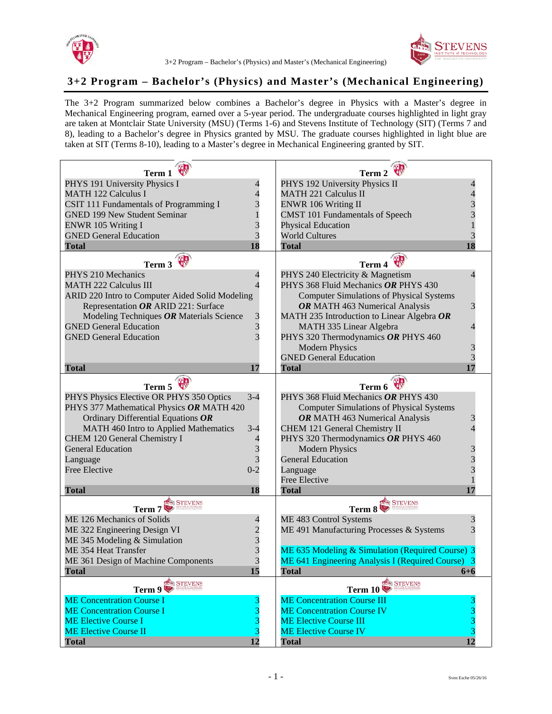

## 3+2 Program – Bachelor's (Physics) and Master's (Mechanical Engineering)

## **3+2 Program – Bachelor's (Physics) and Master's (Mechanical Engineering)**

 The 3+2 Program summarized below combines a Bachelor's degree in Physics with a Master's degree in are taken at Montclair State University (MSU) (Terms 1-6) and Stevens Institute of Technology (SIT) (Terms 7 and taken at SIT (Terms 8-10), leading to a Master's degree in Mechanical Engineering granted by SIT. Mechanical Engineering program, earned over a 5-year period. The undergraduate courses highlighted in light gray 8), leading to a Bachelor's degree in Physics granted by MSU. The graduate courses highlighted in light blue are

| Term 1                                          |                          | Term 2                                                                   |                 |
|-------------------------------------------------|--------------------------|--------------------------------------------------------------------------|-----------------|
| PHYS 191 University Physics I                   | $\overline{\mathcal{L}}$ | PHYS 192 University Physics II                                           |                 |
| <b>MATH 122 Calculus I</b>                      | $\overline{\mathcal{L}}$ | <b>MATH 221 Calculus II</b>                                              |                 |
| CSIT 111 Fundamentals of Programming I          |                          | <b>ENWR 106 Writing II</b>                                               |                 |
| <b>GNED 199 New Student Seminar</b>             | $\frac{3}{1}$            | <b>CMST 101 Fundamentals of Speech</b>                                   |                 |
| <b>ENWR 105 Writing I</b>                       |                          | <b>Physical Education</b>                                                |                 |
| <b>GNED General Education</b>                   | $rac{3}{3}$              | <b>World Cultures</b>                                                    |                 |
| <b>Total</b>                                    | 18                       | <b>Total</b>                                                             | 18              |
| Term $3$                                        |                          | <b>VII</b>                                                               |                 |
| PHYS 210 Mechanics                              |                          | Term 4                                                                   |                 |
|                                                 | 4<br>$\overline{\Delta}$ | PHYS 240 Electricity & Magnetism<br>PHYS 368 Fluid Mechanics OR PHYS 430 |                 |
| <b>MATH 222 Calculus III</b>                    |                          |                                                                          |                 |
| ARID 220 Intro to Computer Aided Solid Modeling |                          | <b>Computer Simulations of Physical Systems</b>                          |                 |
| Representation OR ARID 221: Surface             |                          | OR MATH 463 Numerical Analysis                                           | 3               |
| Modeling Techniques OR Materials Science        | $\frac{3}{3}$            | MATH 235 Introduction to Linear Algebra $OR$                             |                 |
| <b>GNED General Education</b>                   |                          | MATH 335 Linear Algebra                                                  |                 |
| <b>GNED General Education</b>                   | $\overline{3}$           | PHYS 320 Thermodynamics OR PHYS 460                                      |                 |
|                                                 |                          | <b>Modern Physics</b>                                                    |                 |
|                                                 |                          | <b>GNED General Education</b>                                            |                 |
| <b>Total</b>                                    | 17                       | <b>Total</b>                                                             | 17              |
| Term 5                                          |                          | Term 6                                                                   |                 |
| PHYS Physics Elective OR PHYS 350 Optics        | $3 - 4$                  | PHYS 368 Fluid Mechanics OR PHYS 430                                     |                 |
| PHYS 377 Mathematical Physics OR MATH 420       |                          | <b>Computer Simulations of Physical Systems</b>                          |                 |
| Ordinary Differential Equations OR              |                          | OR MATH 463 Numerical Analysis                                           |                 |
| MATH 460 Intro to Applied Mathematics           | $3 - 4$                  | CHEM 121 General Chemistry II                                            |                 |
| CHEM 120 General Chemistry I                    | $\overline{\mathcal{L}}$ | PHYS 320 Thermodynamics OR PHYS 460                                      |                 |
| <b>General Education</b>                        |                          | <b>Modern Physics</b>                                                    |                 |
| Language                                        | $\frac{3}{3}$            | <b>General Education</b>                                                 |                 |
| <b>Free Elective</b>                            | $0 - 2$                  | Language                                                                 |                 |
|                                                 |                          | <b>Free Elective</b>                                                     |                 |
| <b>Total</b>                                    | 18                       | <b>Total</b>                                                             |                 |
| <b>STEVENS</b>                                  |                          | <b>STEVENS</b>                                                           |                 |
| Term $7$                                        |                          | Term 8                                                                   |                 |
| ME 126 Mechanics of Solids                      | $\overline{\mathcal{L}}$ | ME 483 Control Systems                                                   | 3               |
| ME 322 Engineering Design VI                    |                          | ME 491 Manufacturing Processes & Systems                                 |                 |
| ME 345 Modeling & Simulation                    | $\frac{2}{3}$            |                                                                          |                 |
| ME 354 Heat Transfer                            |                          | ME 635 Modeling & Simulation (Required Course) 3                         |                 |
| ME 361 Design of Machine Components             | $\overline{a}$<br>$\cup$ | ME 641 Engineering Analysis I (Required Course) 3                        |                 |
| Total                                           | 15                       | Total                                                                    | $6 + 6$         |
| <b>STEVENS</b><br>Term $9\blacktriangleright$   |                          | <b>GEEN STEVENS</b><br>Term $10\blacktriangleright$                      |                 |
| <b>ME Concentration Course I</b>                |                          | <b>ME Concentration Course III</b>                                       |                 |
| <b>ME Concentration Course I</b>                | 3                        | <b>ME Concentration Course IV</b>                                        |                 |
| <b>ME Elective Course I</b>                     | 3                        | <b>ME Elective Course III</b>                                            |                 |
| <b>ME Elective Course II</b>                    | 3                        | <b>ME Elective Course IV</b>                                             |                 |
| <b>Total</b>                                    | 12                       | <b>Total</b>                                                             | $\overline{12}$ |
|                                                 |                          |                                                                          |                 |